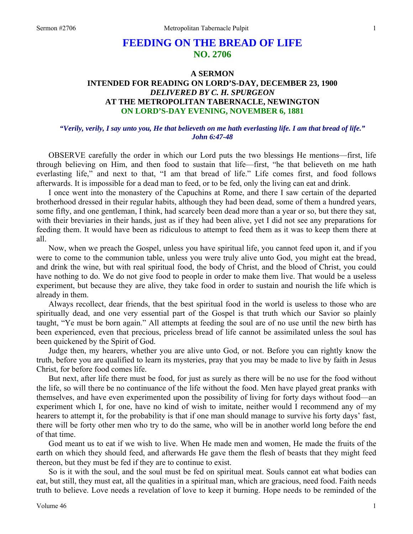# **FEEDING ON THE BREAD OF LIFE NO. 2706**

# **A SERMON INTENDED FOR READING ON LORD'S-DAY, DECEMBER 23, 1900**  *DELIVERED BY C. H. SPURGEON*  **AT THE METROPOLITAN TABERNACLE, NEWINGTON ON LORD'S-DAY EVENING, NOVEMBER 6, 1881**

### *"Verily, verily, I say unto you, He that believeth on me hath everlasting life. I am that bread of life." John 6:47-48*

OBSERVE carefully the order in which our Lord puts the two blessings He mentions—first, life through believing on Him, and then food to sustain that life—first, "he that believeth on me hath everlasting life," and next to that, "I am that bread of life." Life comes first, and food follows afterwards. It is impossible for a dead man to feed, or to be fed, only the living can eat and drink.

I once went into the monastery of the Capuchins at Rome, and there I saw certain of the departed brotherhood dressed in their regular habits, although they had been dead, some of them a hundred years, some fifty, and one gentleman, I think, had scarcely been dead more than a year or so, but there they sat, with their breviaries in their hands, just as if they had been alive, yet I did not see any preparations for feeding them. It would have been as ridiculous to attempt to feed them as it was to keep them there at all.

Now, when we preach the Gospel, unless you have spiritual life, you cannot feed upon it, and if you were to come to the communion table, unless you were truly alive unto God, you might eat the bread, and drink the wine, but with real spiritual food, the body of Christ, and the blood of Christ, you could have nothing to do. We do not give food to people in order to make them live. That would be a useless experiment, but because they are alive, they take food in order to sustain and nourish the life which is already in them.

Always recollect, dear friends, that the best spiritual food in the world is useless to those who are spiritually dead, and one very essential part of the Gospel is that truth which our Savior so plainly taught, "Ye must be born again." All attempts at feeding the soul are of no use until the new birth has been experienced, even that precious, priceless bread of life cannot be assimilated unless the soul has been quickened by the Spirit of God.

Judge then, my hearers, whether you are alive unto God, or not. Before you can rightly know the truth, before you are qualified to learn its mysteries, pray that you may be made to live by faith in Jesus Christ, for before food comes life.

But next, after life there must be food, for just as surely as there will be no use for the food without the life, so will there be no continuance of the life without the food. Men have played great pranks with themselves, and have even experimented upon the possibility of living for forty days without food—an experiment which I, for one, have no kind of wish to imitate, neither would I recommend any of my hearers to attempt it, for the probability is that if one man should manage to survive his forty days' fast, there will be forty other men who try to do the same, who will be in another world long before the end of that time.

God meant us to eat if we wish to live. When He made men and women, He made the fruits of the earth on which they should feed, and afterwards He gave them the flesh of beasts that they might feed thereon, but they must be fed if they are to continue to exist.

So is it with the soul, and the soul must be fed on spiritual meat. Souls cannot eat what bodies can eat, but still, they must eat, all the qualities in a spiritual man, which are gracious, need food. Faith needs truth to believe. Love needs a revelation of love to keep it burning. Hope needs to be reminded of the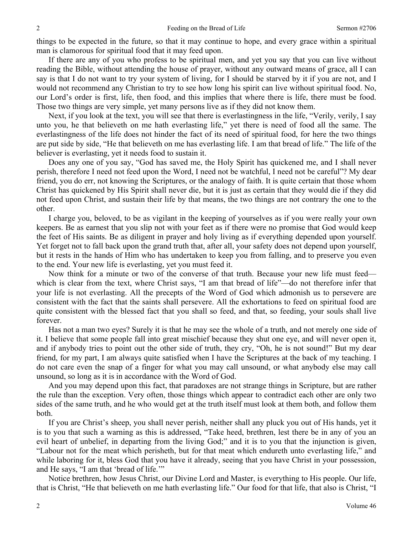things to be expected in the future, so that it may continue to hope, and every grace within a spiritual man is clamorous for spiritual food that it may feed upon.

If there are any of you who profess to be spiritual men, and yet you say that you can live without reading the Bible, without attending the house of prayer, without any outward means of grace, all I can say is that I do not want to try your system of living, for I should be starved by it if you are not, and I would not recommend any Christian to try to see how long his spirit can live without spiritual food. No, our Lord's order is first, life, then food, and this implies that where there is life, there must be food. Those two things are very simple, yet many persons live as if they did not know them.

Next, if you look at the text, you will see that there is everlastingness in the life, "Verily, verily, I say unto you, he that believeth on me hath everlasting life," yet there is need of food all the same. The everlastingness of the life does not hinder the fact of its need of spiritual food, for here the two things are put side by side, "He that believeth on me has everlasting life. I am that bread of life." The life of the believer is everlasting, yet it needs food to sustain it.

Does any one of you say, "God has saved me, the Holy Spirit has quickened me, and I shall never perish, therefore I need not feed upon the Word, I need not be watchful, I need not be careful"? My dear friend, you do err, not knowing the Scriptures, or the analogy of faith. It is quite certain that those whom Christ has quickened by His Spirit shall never die, but it is just as certain that they would die if they did not feed upon Christ, and sustain their life by that means, the two things are not contrary the one to the other.

I charge you, beloved, to be as vigilant in the keeping of yourselves as if you were really your own keepers. Be as earnest that you slip not with your feet as if there were no promise that God would keep the feet of His saints. Be as diligent in prayer and holy living as if everything depended upon yourself. Yet forget not to fall back upon the grand truth that, after all, your safety does not depend upon yourself, but it rests in the hands of Him who has undertaken to keep you from falling, and to preserve you even to the end. Your new life is everlasting, yet you must feed it.

Now think for a minute or two of the converse of that truth. Because your new life must feed which is clear from the text, where Christ says, "I am that bread of life"—do not therefore infer that your life is not everlasting. All the precepts of the Word of God which admonish us to persevere are consistent with the fact that the saints shall persevere. All the exhortations to feed on spiritual food are quite consistent with the blessed fact that you shall so feed, and that, so feeding, your souls shall live forever.

Has not a man two eyes? Surely it is that he may see the whole of a truth, and not merely one side of it. I believe that some people fall into great mischief because they shut one eye, and will never open it, and if anybody tries to point out the other side of truth, they cry, "Oh, he is not sound!" But my dear friend, for my part, I am always quite satisfied when I have the Scriptures at the back of my teaching. I do not care even the snap of a finger for what you may call unsound, or what anybody else may call unsound, so long as it is in accordance with the Word of God.

And you may depend upon this fact, that paradoxes are not strange things in Scripture, but are rather the rule than the exception. Very often, those things which appear to contradict each other are only two sides of the same truth, and he who would get at the truth itself must look at them both, and follow them both.

If you are Christ's sheep, you shall never perish, neither shall any pluck you out of His hands, yet it is to you that such a warning as this is addressed, "Take heed, brethren, lest there be in any of you an evil heart of unbelief, in departing from the living God;" and it is to you that the injunction is given, "Labour not for the meat which perisheth, but for that meat which endureth unto everlasting life," and while laboring for it, bless God that you have it already, seeing that you have Christ in your possession, and He says, "I am that 'bread of life.'"

Notice brethren, how Jesus Christ, our Divine Lord and Master, is everything to His people. Our life, that is Christ, "He that believeth on me hath everlasting life." Our food for that life, that also is Christ, "I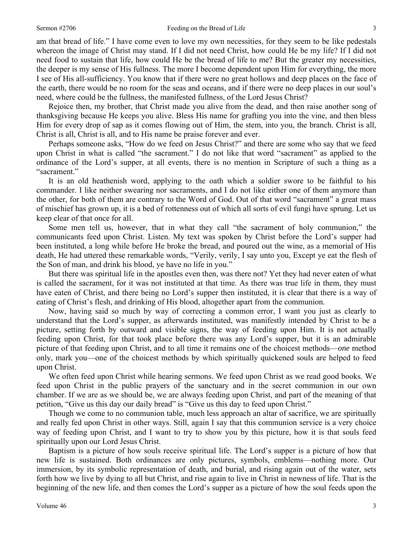am that bread of life." I have come even to love my own necessities, for they seem to be like pedestals whereon the image of Christ may stand. If I did not need Christ, how could He be my life? If I did not need food to sustain that life, how could He be the bread of life to me? But the greater my necessities, the deeper is my sense of His fullness. The more I become dependent upon Him for everything, the more I see of His all-sufficiency. You know that if there were no great hollows and deep places on the face of the earth, there would be no room for the seas and oceans, and if there were no deep places in our soul's need, where could be the fullness, the manifested fullness, of the Lord Jesus Christ?

Rejoice then, my brother, that Christ made you alive from the dead, and then raise another song of thanksgiving because He keeps you alive. Bless His name for grafting you into the vine, and then bless Him for every drop of sap as it comes flowing out of Him, the stem, into you, the branch. Christ is all, Christ is all, Christ is all, and to His name be praise forever and ever.

Perhaps someone asks, "How do we feed on Jesus Christ?" and there are some who say that we feed upon Christ in what is called "the sacrament." I do not like that word "sacrament" as applied to the ordinance of the Lord's supper, at all events, there is no mention in Scripture of such a thing as a "sacrament."

It is an old heathenish word, applying to the oath which a soldier swore to be faithful to his commander. I like neither swearing nor sacraments, and I do not like either one of them anymore than the other, for both of them are contrary to the Word of God. Out of that word "sacrament" a great mass of mischief has grown up, it is a bed of rottenness out of which all sorts of evil fungi have sprung. Let us keep clear of that once for all.

Some men tell us, however, that in what they call "the sacrament of holy communion," the communicants feed upon Christ. Listen. My text was spoken by Christ before the Lord's supper had been instituted, a long while before He broke the bread, and poured out the wine, as a memorial of His death, He had uttered these remarkable words, "Verily, verily, I say unto you, Except ye eat the flesh of the Son of man, and drink his blood, ye have no life in you."

But there was spiritual life in the apostles even then, was there not? Yet they had never eaten of what is called the sacrament, for it was not instituted at that time. As there was true life in them, they must have eaten of Christ, and there being no Lord's supper then instituted, it is clear that there is a way of eating of Christ's flesh, and drinking of His blood, altogether apart from the communion.

Now, having said so much by way of correcting a common error, I want you just as clearly to understand that the Lord's supper, as afterwards instituted, was manifestly intended by Christ to be a picture, setting forth by outward and visible signs, the way of feeding upon Him. It is not actually feeding upon Christ, for that took place before there was any Lord's supper, but it is an admirable picture of that feeding upon Christ, and to all time it remains one of the choicest methods—*one* method only, mark you—one of the choicest methods by which spiritually quickened souls are helped to feed upon Christ.

We often feed upon Christ while hearing sermons. We feed upon Christ as we read good books. We feed upon Christ in the public prayers of the sanctuary and in the secret communion in our own chamber. If we are as we should be, we are always feeding upon Christ, and part of the meaning of that petition, "Give us this day our daily bread" is "Give us this day to feed upon Christ."

Though we come to no communion table, much less approach an altar of sacrifice, we are spiritually and really fed upon Christ in other ways. Still, again I say that this communion service is a very choice way of feeding upon Christ, and I want to try to show you by this picture, how it is that souls feed spiritually upon our Lord Jesus Christ.

Baptism is a picture of how souls receive spiritual life. The Lord's supper is a picture of how that new life is sustained. Both ordinances are only pictures, symbols, emblems—nothing more. Our immersion, by its symbolic representation of death, and burial, and rising again out of the water, sets forth how we live by dying to all but Christ, and rise again to live in Christ in newness of life. That is the beginning of the new life, and then comes the Lord's supper as a picture of how the soul feeds upon the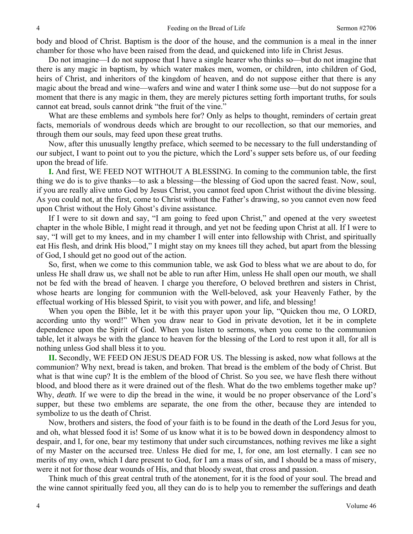body and blood of Christ. Baptism is the door of the house, and the communion is a meal in the inner chamber for those who have been raised from the dead, and quickened into life in Christ Jesus.

Do not imagine—I do not suppose that I have a single hearer who thinks so—but do not imagine that there is any magic in baptism, by which water makes men, women, or children, into children of God, heirs of Christ, and inheritors of the kingdom of heaven, and do not suppose either that there is any magic about the bread and wine—wafers and wine and water I think some use—but do not suppose for a moment that there is any magic in them, they are merely pictures setting forth important truths, for souls cannot eat bread, souls cannot drink "the fruit of the vine."

What are these emblems and symbols here for? Only as helps to thought, reminders of certain great facts, memorials of wondrous deeds which are brought to our recollection, so that our memories, and through them our souls, may feed upon these great truths.

Now, after this unusually lengthy preface, which seemed to be necessary to the full understanding of our subject, I want to point out to you the picture, which the Lord's supper sets before us, of our feeding upon the bread of life.

**I.** And first, WE FEED NOT WITHOUT A BLESSING. In coming to the communion table, the first thing we do is to give thanks—to ask a blessing—the blessing of God upon the sacred feast. Now, soul, if you are really alive unto God by Jesus Christ, you cannot feed upon Christ without the divine blessing. As you could not, at the first, come to Christ without the Father's drawing, so you cannot even now feed upon Christ without the Holy Ghost's divine assistance.

If I were to sit down and say, "I am going to feed upon Christ," and opened at the very sweetest chapter in the whole Bible, I might read it through, and yet not be feeding upon Christ at all. If I were to say, "I will get to my knees, and in my chamber I will enter into fellowship with Christ, and spiritually eat His flesh, and drink His blood," I might stay on my knees till they ached, but apart from the blessing of God, I should get no good out of the action.

So, first, when we come to this communion table, we ask God to bless what we are about to do, for unless He shall draw us, we shall not be able to run after Him, unless He shall open our mouth, we shall not be fed with the bread of heaven. I charge you therefore, O beloved brethren and sisters in Christ, whose hearts are longing for communion with the Well-beloved, ask your Heavenly Father, by the effectual working of His blessed Spirit, to visit you with power, and life, and blessing!

When you open the Bible, let it be with this prayer upon your lip, "Quicken thou me, O LORD, according unto thy word!" When you draw near to God in private devotion, let it be in complete dependence upon the Spirit of God. When you listen to sermons, when you come to the communion table, let it always be with the glance to heaven for the blessing of the Lord to rest upon it all, for all is nothing unless God shall bless it to you.

**II.** Secondly, WE FEED ON JESUS DEAD FOR US. The blessing is asked, now what follows at the communion? Why next, bread is taken, and broken. That bread is the emblem of the body of Christ. But what is that wine cup? It is the emblem of the blood of Christ. So you see, we have flesh there without blood, and blood there as it were drained out of the flesh. What do the two emblems together make up? Why, *death*. If we were to dip the bread in the wine, it would be no proper observance of the Lord's supper, but these two emblems are separate, the one from the other, because they are intended to symbolize to us the death of Christ.

Now, brothers and sisters, the food of your faith is to be found in the death of the Lord Jesus for you, and oh, what blessed food it is! Some of us know what it is to be bowed down in despondency almost to despair, and I, for one, bear my testimony that under such circumstances, nothing revives me like a sight of my Master on the accursed tree. Unless He died for me, I, for one, am lost eternally. I can see no merits of my own, which I dare present to God, for I am a mass of sin, and I should be a mass of misery, were it not for those dear wounds of His, and that bloody sweat, that cross and passion.

Think much of this great central truth of the atonement, for it is the food of your soul. The bread and the wine cannot spiritually feed you, all they can do is to help you to remember the sufferings and death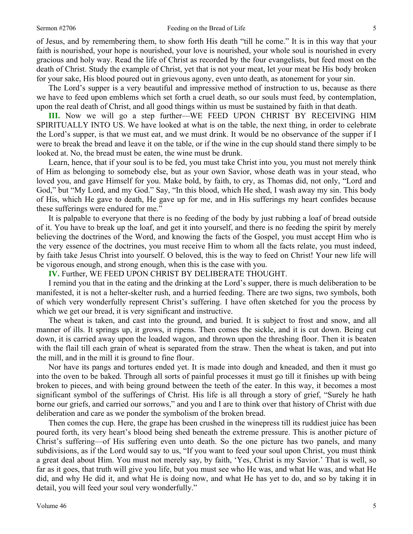of Jesus, and by remembering them, to show forth His death "till he come." It is in this way that your faith is nourished, your hope is nourished, your love is nourished, your whole soul is nourished in every gracious and holy way. Read the life of Christ as recorded by the four evangelists, but feed most on the death of Christ. Study the example of Christ, yet that is not your meat, let your meat be His body broken for your sake, His blood poured out in grievous agony, even unto death, as atonement for your sin.

The Lord's supper is a very beautiful and impressive method of instruction to us, because as there we have to feed upon emblems which set forth a cruel death, so our souls must feed, by contemplation, upon the real death of Christ, and all good things within us must be sustained by faith in that death.

**III.** Now we will go a step further—WE FEED UPON CHRIST BY RECEIVING HIM SPIRITUALLY INTO US. We have looked at what is on the table, the next thing, in order to celebrate the Lord's supper, is that we must eat, and we must drink. It would be no observance of the supper if I were to break the bread and leave it on the table, or if the wine in the cup should stand there simply to be looked at. No, the bread must be eaten, the wine must be drunk.

Learn, hence, that if your soul is to be fed, you must take Christ into you, you must not merely think of Him as belonging to somebody else, but as your own Savior, whose death was in your stead, who loved you, and gave Himself for you. Make bold, by faith, to cry, as Thomas did, not only, "Lord and God," but "My Lord, and my God." Say, "In this blood, which He shed, I wash away my sin. This body of His, which He gave to death, He gave up for me, and in His sufferings my heart confides because these sufferings were endured for me."

It is palpable to everyone that there is no feeding of the body by just rubbing a loaf of bread outside of it. You have to break up the loaf, and get it into yourself, and there is no feeding the spirit by merely believing the doctrines of the Word, and knowing the facts of the Gospel, you must accept Him who is the very essence of the doctrines, you must receive Him to whom all the facts relate, you must indeed, by faith take Jesus Christ into yourself. O beloved, this is the way to feed on Christ! Your new life will be vigorous enough, and strong enough, when this is the case with you.

**IV.** Further, WE FEED UPON CHRIST BY DELIBERATE THOUGHT.

I remind you that in the eating and the drinking at the Lord's supper, there is much deliberation to be manifested, it is not a helter-skelter rush, and a hurried feeding. There are two signs, two symbols, both of which very wonderfully represent Christ's suffering. I have often sketched for you the process by which we get our bread, it is very significant and instructive.

The wheat is taken, and cast into the ground, and buried. It is subject to frost and snow, and all manner of ills. It springs up, it grows, it ripens. Then comes the sickle, and it is cut down. Being cut down, it is carried away upon the loaded wagon, and thrown upon the threshing floor. Then it is beaten with the flail till each grain of wheat is separated from the straw. Then the wheat is taken, and put into the mill, and in the mill it is ground to fine flour.

Nor have its pangs and tortures ended yet. It is made into dough and kneaded, and then it must go into the oven to be baked. Through all sorts of painful processes it must go till it finishes up with being broken to pieces, and with being ground between the teeth of the eater. In this way, it becomes a most significant symbol of the sufferings of Christ. His life is all through a story of grief, "Surely he hath borne our griefs, and carried our sorrows," and you and I are to think over that history of Christ with due deliberation and care as we ponder the symbolism of the broken bread.

Then comes the cup. Here, the grape has been crushed in the winepress till its ruddiest juice has been poured forth, its very heart's blood being shed beneath the extreme pressure. This is another picture of Christ's suffering—of His suffering even unto death. So the one picture has two panels, and many subdivisions, as if the Lord would say to us, "If you want to feed your soul upon Christ, you must think a great deal about Him. You must not merely say, by faith, 'Yes, Christ is my Savior.' That is well, so far as it goes, that truth will give you life, but you must see who He was, and what He was, and what He did, and why He did it, and what He is doing now, and what He has yet to do, and so by taking it in detail, you will feed your soul very wonderfully."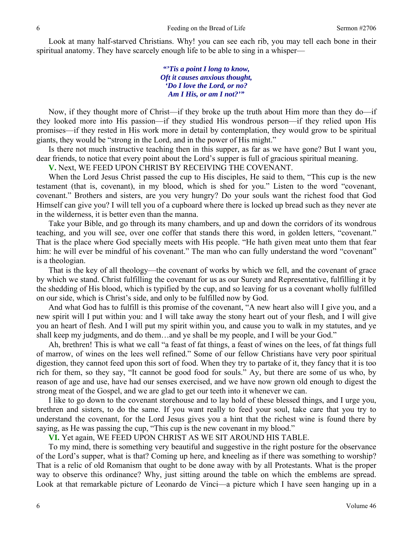Look at many half-starved Christians. Why! you can see each rib, you may tell each bone in their spiritual anatomy. They have scarcely enough life to be able to sing in a whisper—

> *"'Tis a point I long to know, Oft it causes anxious thought, 'Do I love the Lord, or no? Am I His, or am I not?'"*

Now, if they thought more of Christ—if they broke up the truth about Him more than they do—if they looked more into His passion—if they studied His wondrous person—if they relied upon His promises—if they rested in His work more in detail by contemplation, they would grow to be spiritual giants, they would be "strong in the Lord, and in the power of His might."

Is there not much instructive teaching then in this supper, as far as we have gone? But I want you, dear friends, to notice that every point about the Lord's supper is full of gracious spiritual meaning.

**V.** Next, WE FEED UPON CHRIST BY RECEIVING THE COVENANT.

When the Lord Jesus Christ passed the cup to His disciples, He said to them, "This cup is the new testament (that is, covenant), in my blood, which is shed for you." Listen to the word "covenant, covenant." Brothers and sisters, are you very hungry? Do your souls want the richest food that God Himself can give you? I will tell you of a cupboard where there is locked up bread such as they never ate in the wilderness, it is better even than the manna.

Take your Bible, and go through its many chambers, and up and down the corridors of its wondrous teaching, and you will see, over one coffer that stands there this word, in golden letters, "covenant." That is the place where God specially meets with His people. "He hath given meat unto them that fear him: he will ever be mindful of his covenant." The man who can fully understand the word "covenant" is a theologian.

That is the key of all theology—the covenant of works by which we fell, and the covenant of grace by which we stand. Christ fulfilling the covenant for us as our Surety and Representative, fulfilling it by the shedding of His blood, which is typified by the cup, and so leaving for us a covenant wholly fulfilled on our side, which is Christ's side, and only to be fulfilled now by God.

And what God has to fulfill is this promise of the covenant, "A new heart also will I give you, and a new spirit will I put within you: and I will take away the stony heart out of your flesh, and I will give you an heart of flesh. And I will put my spirit within you, and cause you to walk in my statutes, and ye shall keep my judgments, and do them…and ye shall be my people, and I will be your God."

Ah, brethren! This is what we call "a feast of fat things, a feast of wines on the lees, of fat things full of marrow, of wines on the lees well refined." Some of our fellow Christians have very poor spiritual digestion, they cannot feed upon this sort of food. When they try to partake of it, they fancy that it is too rich for them, so they say, "It cannot be good food for souls." Ay, but there are some of us who, by reason of age and use, have had our senses exercised, and we have now grown old enough to digest the strong meat of the Gospel, and we are glad to get our teeth into it whenever we can.

I like to go down to the covenant storehouse and to lay hold of these blessed things, and I urge you, brethren and sisters, to do the same. If you want really to feed your soul, take care that you try to understand the covenant, for the Lord Jesus gives you a hint that the richest wine is found there by saying, as He was passing the cup, "This cup is the new covenant in my blood."

**VI.** Yet again, WE FEED UPON CHRIST AS WE SIT AROUND HIS TABLE.

To my mind, there is something very beautiful and suggestive in the right posture for the observance of the Lord's supper, what is that? Coming up here, and kneeling as if there was something to worship? That is a relic of old Romanism that ought to be done away with by all Protestants. What is the proper way to observe this ordinance? Why, just sitting around the table on which the emblems are spread. Look at that remarkable picture of Leonardo de Vinci—a picture which I have seen hanging up in a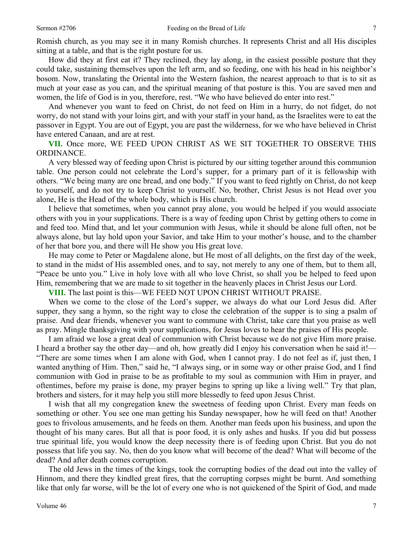Romish church, as you may see it in many Romish churches. It represents Christ and all His disciples sitting at a table, and that is the right posture for us.

How did they at first eat it? They reclined, they lay along, in the easiest possible posture that they could take, sustaining themselves upon the left arm, and so feeding, one with his head in his neighbor's bosom. Now, translating the Oriental into the Western fashion, the nearest approach to that is to sit as much at your ease as you can, and the spiritual meaning of that posture is this. You are saved men and women, the life of God is in you, therefore, rest. "We who have believed do enter into rest."

And whenever you want to feed on Christ, do not feed on Him in a hurry, do not fidget, do not worry, do not stand with your loins girt, and with your staff in your hand, as the Israelites were to eat the passover in Egypt. You are out of Egypt, you are past the wilderness, for we who have believed in Christ have entered Canaan, and are at rest.

**VII.** Once more, WE FEED UPON CHRIST AS WE SIT TOGETHER TO OBSERVE THIS ORDINANCE.

A very blessed way of feeding upon Christ is pictured by our sitting together around this communion table. One person could not celebrate the Lord's supper, for a primary part of it is fellowship with others. "We being many are one bread, and one body." If you want to feed rightly on Christ, do not keep to yourself, and do not try to keep Christ to yourself. No, brother, Christ Jesus is not Head over you alone, He is the Head of the whole body, which is His church.

I believe that sometimes, when you cannot pray alone, you would be helped if you would associate others with you in your supplications. There is a way of feeding upon Christ by getting others to come in and feed too. Mind that, and let your communion with Jesus, while it should be alone full often, not be always alone, but lay hold upon your Savior, and take Him to your mother's house, and to the chamber of her that bore you, and there will He show you His great love.

He may come to Peter or Magdalene alone, but He most of all delights, on the first day of the week, to stand in the midst of His assembled ones, and to say, not merely to any one of them, but to them all, "Peace be unto you." Live in holy love with all who love Christ, so shall you be helped to feed upon Him, remembering that we are made to sit together in the heavenly places in Christ Jesus our Lord.

**VIII.** The last point is this—WE FEED NOT UPON CHRIST WITHOUT PRAISE.

When we come to the close of the Lord's supper, we always do what our Lord Jesus did. After supper, they sang a hymn, so the right way to close the celebration of the supper is to sing a psalm of praise. And dear friends, whenever you want to commune with Christ, take care that you praise as well as pray. Mingle thanksgiving with your supplications, for Jesus loves to hear the praises of His people.

I am afraid we lose a great deal of communion with Christ because we do not give Him more praise. I heard a brother say the other day—and oh, how greatly did I enjoy his conversation when he said it!— "There are some times when I am alone with God, when I cannot pray. I do not feel as if, just then, I wanted anything of Him. Then," said he, "I always sing, or in some way or other praise God, and I find communion with God in praise to be as profitable to my soul as communion with Him in prayer, and oftentimes, before my praise is done, my prayer begins to spring up like a living well." Try that plan, brothers and sisters, for it may help you still more blessedly to feed upon Jesus Christ.

I wish that all my congregation knew the sweetness of feeding upon Christ. Every man feeds on something or other. You see one man getting his Sunday newspaper, how he will feed on that! Another goes to frivolous amusements, and he feeds on them. Another man feeds upon his business, and upon the thought of his many cares. But all that is poor food, it is only ashes and husks. If you did but possess true spiritual life, you would know the deep necessity there is of feeding upon Christ. But you do not possess that life you say. No, then do you know what will become of the dead? What will become of the dead? And after death comes corruption.

The old Jews in the times of the kings, took the corrupting bodies of the dead out into the valley of Hinnom, and there they kindled great fires, that the corrupting corpses might be burnt. And something like that only far worse, will be the lot of every one who is not quickened of the Spirit of God, and made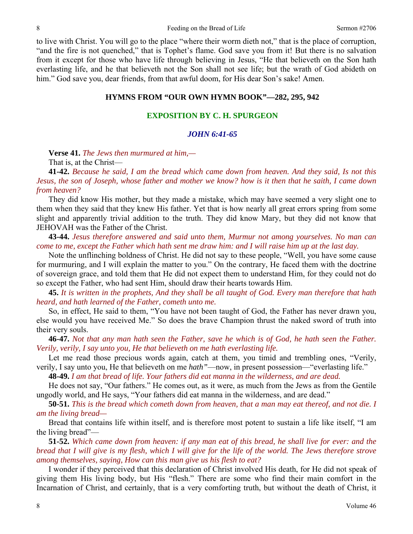to live with Christ. You will go to the place "where their worm dieth not," that is the place of corruption, "and the fire is not quenched," that is Tophet's flame. God save you from it! But there is no salvation from it except for those who have life through believing in Jesus, "He that believeth on the Son hath everlasting life, and he that believeth not the Son shall not see life; but the wrath of God abideth on him." God save you, dear friends, from that awful doom, for His dear Son's sake! Amen.

#### **HYMNS FROM "OUR OWN HYMN BOOK"—282, 295, 942**

# **EXPOSITION BY C. H. SPURGEON**

# *JOHN 6:41-65*

**Verse 41.** *The Jews then murmured at him,—* 

That is, at the Christ—

**41-42.** *Because he said, I am the bread which came down from heaven. And they said, Is not this Jesus, the son of Joseph, whose father and mother we know? how is it then that he saith, I came down from heaven?* 

They did know His mother, but they made a mistake, which may have seemed a very slight one to them when they said that they knew His father. Yet that is how nearly all great errors spring from some slight and apparently trivial addition to the truth. They did know Mary, but they did not know that JEHOVAH was the Father of the Christ.

**43-44.** *Jesus therefore answered and said unto them, Murmur not among yourselves. No man can come to me, except the Father which hath sent me draw him: and I will raise him up at the last day.* 

Note the unflinching boldness of Christ. He did not say to these people, "Well, you have some cause for murmuring, and I will explain the matter to you." On the contrary, He faced them with the doctrine of sovereign grace, and told them that He did not expect them to understand Him, for they could not do so except the Father, who had sent Him, should draw their hearts towards Him.

**45.** *It is written in the prophets, And they shall be all taught of God. Every man therefore that hath heard, and hath learned of the Father, cometh unto me.* 

So, in effect, He said to them, "You have not been taught of God, the Father has never drawn you, else would you have received Me." So does the brave Champion thrust the naked sword of truth into their very souls.

**46-47.** *Not that any man hath seen the Father, save he which is of God, he hath seen the Father. Verily, verily, I say unto you, He that believeth on me hath everlasting life.* 

Let me read those precious words again, catch at them, you timid and trembling ones, "Verily, verily, I say unto you, He that believeth on me *hath"*—now, in present possession—"everlasting life."

**48-49.** *I am that bread of life. Your fathers did eat manna in the wilderness, and are dead.* 

He does not say, "Our fathers." He comes out, as it were, as much from the Jews as from the Gentile ungodly world, and He says, "Your fathers did eat manna in the wilderness, and are dead."

**50-51.** *This is the bread which cometh down from heaven, that a man may eat thereof, and not die. I am the living bread—* 

Bread that contains life within itself, and is therefore most potent to sustain a life like itself, "I am the living bread"—

**51-52.** *Which came down from heaven: if any man eat of this bread, he shall live for ever: and the bread that I will give is my flesh, which I will give for the life of the world. The Jews therefore strove among themselves, saying, How can this man give us his flesh to eat?* 

I wonder if they perceived that this declaration of Christ involved His death, for He did not speak of giving them His living body, but His "flesh." There are some who find their main comfort in the Incarnation of Christ, and certainly, that is a very comforting truth, but without the death of Christ, it